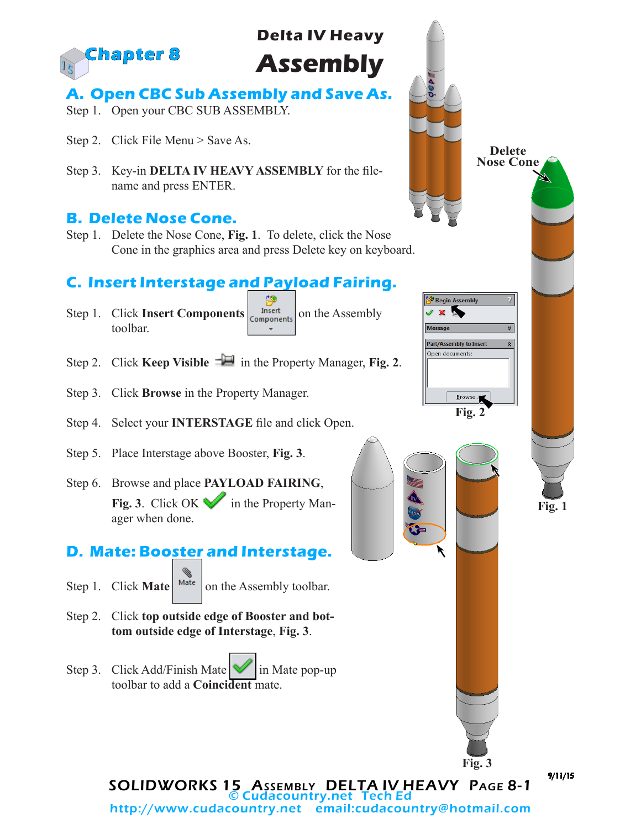

# **Delta IV Heavy Assembly**

## **A. Open CBC Sub Assembly and Save As.**

- Step 1. Open your CBC SUB ASSEMBLY.
- Step 2. Click File Menu > Save As.
- Step 3. Key-in **DELTA IV HEAVY ASSEMBLY** for the filename and press ENTER.

#### **B. Delete Nose Cone.**

Step 1. Delete the Nose Cone, **Fig. 1**. To delete, click the Nose Cone in the graphics area and press Delete key on keyboard.

## **C. Insert Interstage and Payload Fairing.**

- Step 1. Click **Insert Components our components** on the Assembly toolbar.  $\ddot{\phantom{1}}$
- Step 2. Click **Keep Visible**  $\exists \blacksquare$  in the Property Manager, **Fig. 2**.
- Step 3. Click **Browse** in the Property Manager.
- Step 4. Select your **INTERSTAGE** file and click Open.
- Step 5. Place Interstage above Booster, **Fig. 3**.
- Step 6. Browse and place **PAYLOAD FAIRING**, **Fig. 3**. Click OK in the Property Manager when done.

## **D. Mate: Booster and Interstage.**

- Step 1. Click **Mate**  $\vert$  <sup>Mate</sup>  $\vert$  on the Assembly toolbar.
- Step 2. Click **top outside edge of Booster and bottom outside edge of Interstage**, **Fig. 3**.
- Step 3. Click Add/Finish Mate  $\blacksquare$  in Mate pop-up toolbar to add a **Coincident** mate.



SOLIDWORKS 15 Assembly DELTA IV HEAVY Page 8-1 © Cudacountry.net Tech Ed http://www.cudacountry.net email:cudacountry@hotmail.com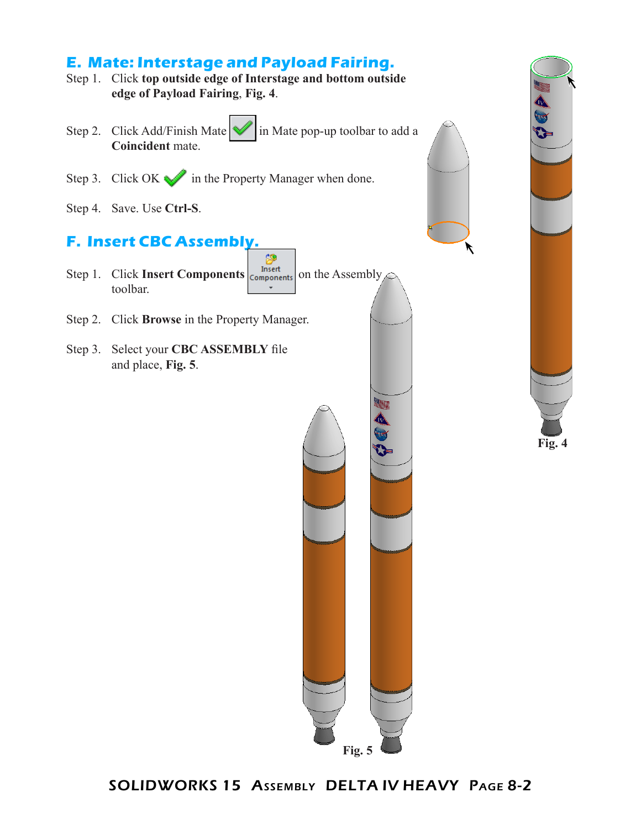## **E. Mate: Interstage and Payload Fairing.**

- Step 1. Click **top outside edge of Interstage and bottom outside edge of Payload Fairing**, **Fig. 4**.
- Step 2. Click Add/Finish Mate  $\mathcal{U}$  in Mate pop-up toolbar to add a **Coincident** mate.
- Step 3. Click OK in the Property Manager when done.
- Step 4. Save. Use **Ctrl-S**.

## **F. Insert CBC Assembly.**

- Step 1. Click **Insert Components of the Assembly** toolbar.
- Step 2. Click **Browse** in the Property Manager.
- Step 3. Select your **CBC ASSEMBLY** file and place, **Fig. 5**.







SOLIDWORKS 15 Assembly DELTA IV HEAVY Page 8-2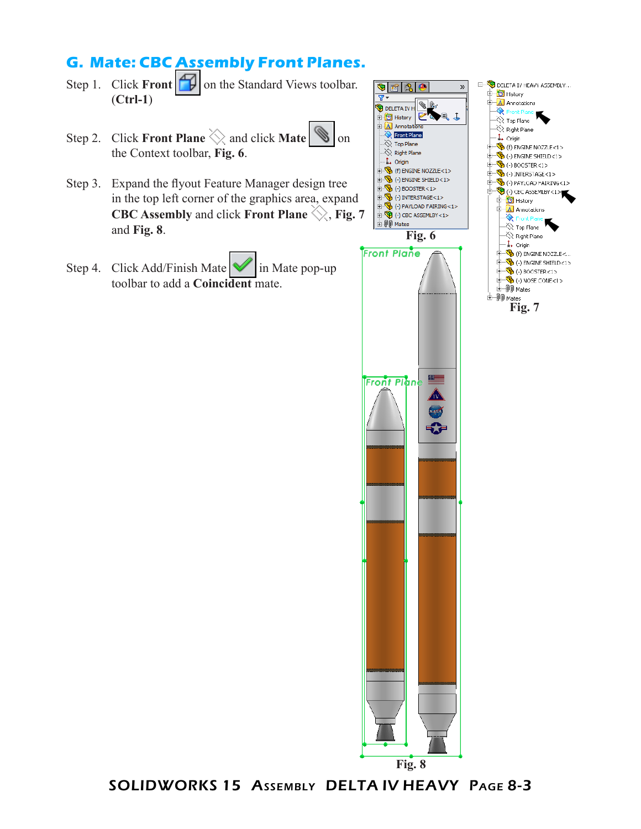## **G. Mate: CBC Assembly Front Planes.**

- Step 1. Click **Front**  $\Box$  on the Standard Views toolbar. (**Ctrl-1**)
- Step 2. Click **Front Plane**  $\Diamond$  and click **Mate**  $\Diamond$  on the Context toolbar, **Fig. 6**.
- Step 3. Expand the flyout Feature Manager design tree in the top left corner of the graphics area, expand **CBC Assembly** and click **Front Plane**  $\Diamond$ , **Fig. 7** and **Fig. 8**.
- Step 4. Click Add/Finish Mate  $\blacksquare$  in Mate pop-up toolbar to add a **Coincident** mate.





SOLIDWORKS 15 Assembly DELTA IV HEAVY Page 8-3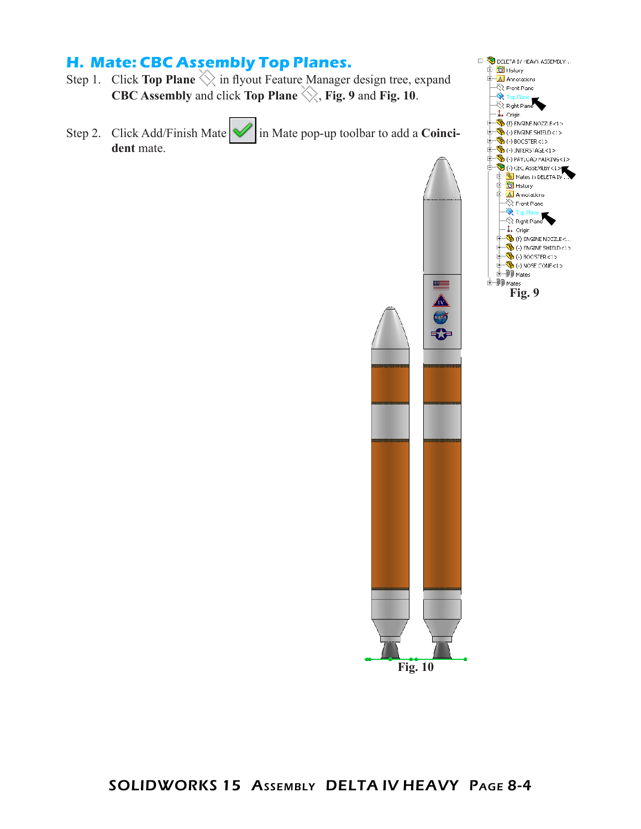## **H. Mate: CBC Assembly Top Planes.**

- Step 1. Click **Top Plane**  $\Diamond$  in flyout Feature Manager design tree, expand **CBC Assembly** and click **Top Plane**  $\diamondsuit$ , **Fig. 9** and **Fig. 10**.
- Step 2. Click Add/Finish Mate **in** Mate pop-up toolbar to add a **Coinci**dent mate.



DELETA IV HEAVY ASSEMBLY...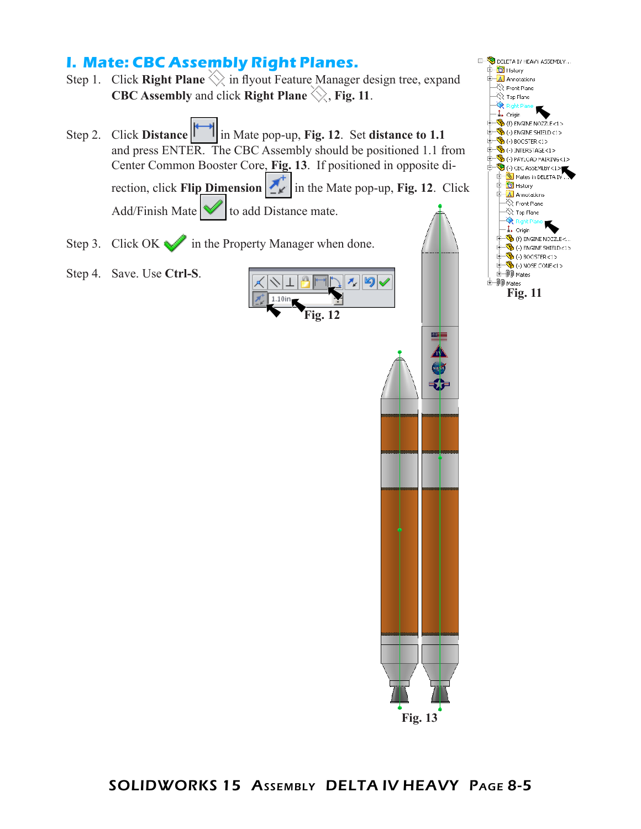### **I. Mate: CBC Assembly Right Planes.**

- Step 1. Click **Right Plane**  $\Diamond$  in flyout Feature Manager design tree, expand **CBC Assembly** and click **Right Plane**  $\Diamond$ , **Fig. 11**.
- Step 2. Click **Distance** in Mate pop-up, **Fig. 12**. Set **distance to 1.1** and press ENTER. The CBC Assembly should be positioned 1.1 from Center Common Booster Core, **Fig. 13**. If positioned in opposite direction, click **Flip Dimension**  $\mathbf{r}$  in the Mate pop-up, **Fig. 12**. Click Add/Finish Mate  $\mathbf{\nabla}$  to add Distance mate.
- Step 3. Click OK in the Property Manager when done.
- Step 4. Save. Use **Ctrl-S**.





**Fig. 13**

≝